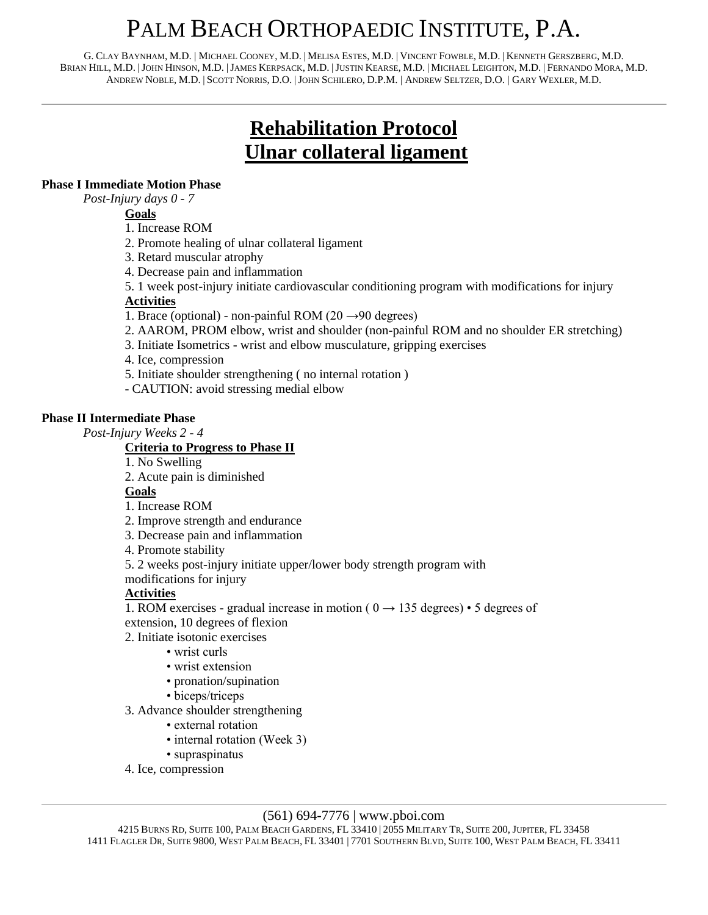# PALM BEACH ORTHOPAEDIC INSTITUTE, P.A.

G. CLAY BAYNHAM, M.D. | MICHAEL COONEY, M.D. | MELISA ESTES, M.D. | VINCENT FOWBLE, M.D. | KENNETH GERSZBERG, M.D. BRIAN HILL, M.D. |JOHN HINSON, M.D. |JAMES KERPSACK, M.D. |JUSTIN KEARSE, M.D. | MICHAEL LEIGHTON, M.D. | FERNANDO MORA, M.D. ANDREW NOBLE, M.D. | SCOTT NORRIS, D.O. |JOHN SCHILERO, D.P.M. | ANDREW SELTZER, D.O. | GARY WEXLER, M.D.

# **Rehabilitation Protocol Ulnar collateral ligament**

# **Phase I Immediate Motion Phase**

*Post-Injury days 0 - 7*

**Goals**

- 1. Increase ROM
- 2. Promote healing of ulnar collateral ligament
- 3. Retard muscular atrophy
- 4. Decrease pain and inflammation
- 5. 1 week post-injury initiate cardiovascular conditioning program with modifications for injury

# **Activities**

- 1. Brace (optional) non-painful ROM (20  $\rightarrow$ 90 degrees)
- 2. AAROM, PROM elbow, wrist and shoulder (non-painful ROM and no shoulder ER stretching)
- 3. Initiate Isometrics wrist and elbow musculature, gripping exercises
- 4. Ice, compression
- 5. Initiate shoulder strengthening ( no internal rotation )
- CAUTION: avoid stressing medial elbow

#### **Phase II Intermediate Phase**

*Post-Injury Weeks 2 - 4* 

### **Criteria to Progress to Phase II**

- 1. No Swelling
- 2. Acute pain is diminished

### **Goals**

1. Increase ROM

- 2. Improve strength and endurance
- 3. Decrease pain and inflammation
- 4. Promote stability
- 5. 2 weeks post-injury initiate upper/lower body strength program with

modifications for injury

# **Activities**

1. ROM exercises - gradual increase in motion ( $0 \rightarrow 135$  degrees) • 5 degrees of extension, 10 degrees of flexion

- 2. Initiate isotonic exercises
	- wrist curls
	- wrist extension
	- pronation/supination
	- biceps/triceps
- 3. Advance shoulder strengthening
	- external rotation
	- internal rotation (Week 3)
	- supraspinatus
- 4. Ice, compression

### (561) 694-7776 | www.pboi.com